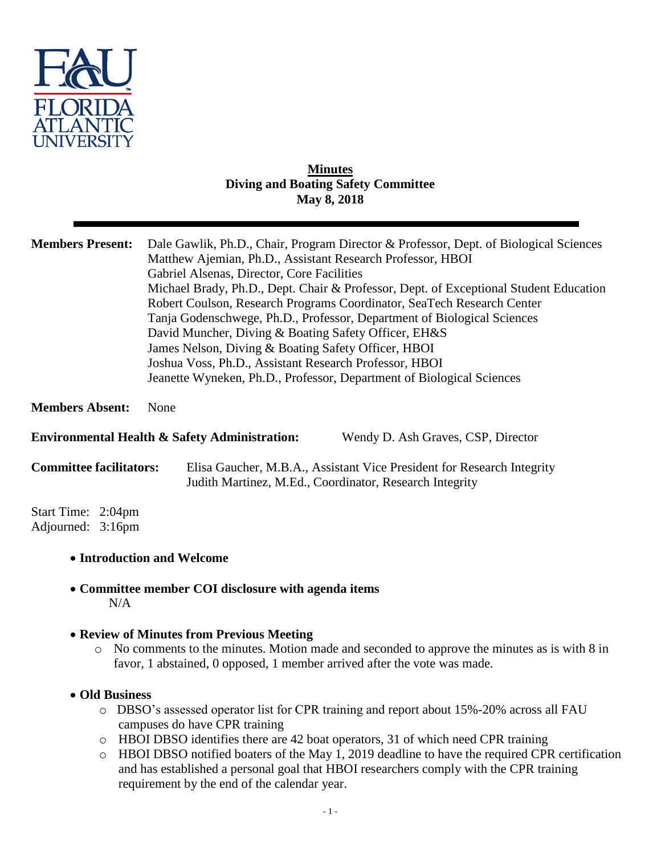

#### **Minutes Diving and Boating Safety Committee May 8, 2018**

| <b>Members Present:</b>                                                                        | Dale Gawlik, Ph.D., Chair, Program Director & Professor, Dept. of Biological Sciences<br>Matthew Ajemian, Ph.D., Assistant Research Professor, HBOI<br>Gabriel Alsenas, Director, Core Facilities<br>Michael Brady, Ph.D., Dept. Chair & Professor, Dept. of Exceptional Student Education<br>Robert Coulson, Research Programs Coordinator, SeaTech Research Center<br>Tanja Godenschwege, Ph.D., Professor, Department of Biological Sciences<br>David Muncher, Diving & Boating Safety Officer, EH&S<br>James Nelson, Diving & Boating Safety Officer, HBOI<br>Joshua Voss, Ph.D., Assistant Research Professor, HBOI<br>Jeanette Wyneken, Ph.D., Professor, Department of Biological Sciences |
|------------------------------------------------------------------------------------------------|---------------------------------------------------------------------------------------------------------------------------------------------------------------------------------------------------------------------------------------------------------------------------------------------------------------------------------------------------------------------------------------------------------------------------------------------------------------------------------------------------------------------------------------------------------------------------------------------------------------------------------------------------------------------------------------------------|
| <b>Members Absent:</b>                                                                         | None                                                                                                                                                                                                                                                                                                                                                                                                                                                                                                                                                                                                                                                                                              |
| <b>Environmental Health &amp; Safety Administration:</b><br>Wendy D. Ash Graves, CSP, Director |                                                                                                                                                                                                                                                                                                                                                                                                                                                                                                                                                                                                                                                                                                   |
| <b>Committee facilitators:</b>                                                                 | Elisa Gaucher, M.B.A., Assistant Vice President for Research Integrity<br>Judith Martinez, M.Ed., Coordinator, Research Integrity                                                                                                                                                                                                                                                                                                                                                                                                                                                                                                                                                                 |
| Start Time: 2:04pm<br>Adjourned: 3:16pm                                                        |                                                                                                                                                                                                                                                                                                                                                                                                                                                                                                                                                                                                                                                                                                   |
| • Introduction and Welcome                                                                     |                                                                                                                                                                                                                                                                                                                                                                                                                                                                                                                                                                                                                                                                                                   |

 **Committee member COI disclosure with agenda items** N/A

### **Review of Minutes from Previous Meeting**

- o No comments to the minutes. Motion made and seconded to approve the minutes as is with 8 in favor, 1 abstained, 0 opposed, 1 member arrived after the vote was made.
- **Old Business**
	- o DBSO's assessed operator list for CPR training and report about 15%-20% across all FAU campuses do have CPR training
	- o HBOI DBSO identifies there are 42 boat operators, 31 of which need CPR training
	- o HBOI DBSO notified boaters of the May 1, 2019 deadline to have the required CPR certification and has established a personal goal that HBOI researchers comply with the CPR training requirement by the end of the calendar year.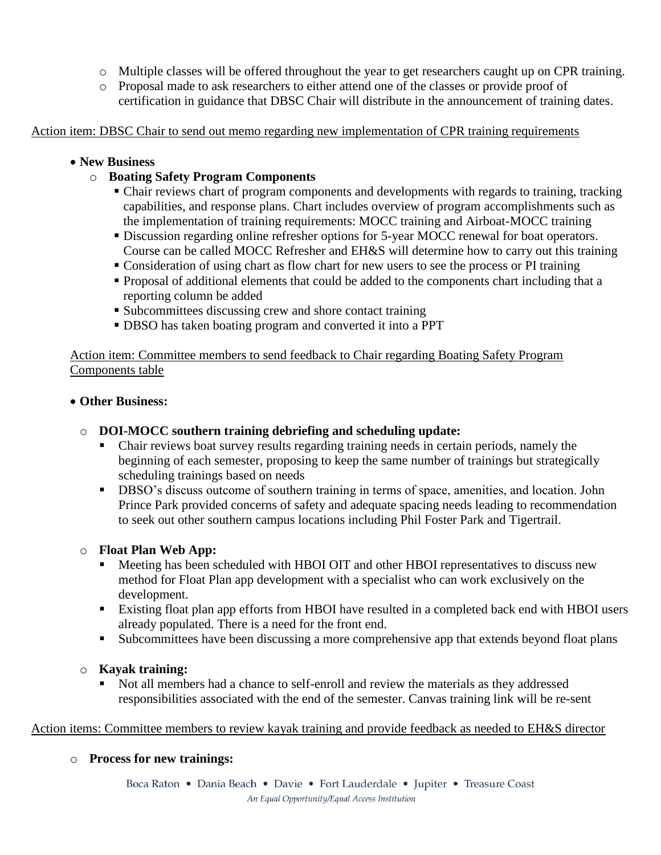- o Multiple classes will be offered throughout the year to get researchers caught up on CPR training.
- o Proposal made to ask researchers to either attend one of the classes or provide proof of certification in guidance that DBSC Chair will distribute in the announcement of training dates.

Action item: DBSC Chair to send out memo regarding new implementation of CPR training requirements

#### **New Business**

### o **Boating Safety Program Components**

- Chair reviews chart of program components and developments with regards to training, tracking capabilities, and response plans. Chart includes overview of program accomplishments such as the implementation of training requirements: MOCC training and Airboat-MOCC training
- Discussion regarding online refresher options for 5-year MOCC renewal for boat operators. Course can be called MOCC Refresher and EH&S will determine how to carry out this training
- Consideration of using chart as flow chart for new users to see the process or PI training
- Proposal of additional elements that could be added to the components chart including that a reporting column be added
- Subcommittees discussing crew and shore contact training
- DBSO has taken boating program and converted it into a PPT

Action item: Committee members to send feedback to Chair regarding Boating Safety Program Components table

### **Other Business:**

- o **DOI-MOCC southern training debriefing and scheduling update:**
	- Chair reviews boat survey results regarding training needs in certain periods, namely the beginning of each semester, proposing to keep the same number of trainings but strategically scheduling trainings based on needs
	- **DBSO's discuss outcome of southern training in terms of space, amenities, and location. John** Prince Park provided concerns of safety and adequate spacing needs leading to recommendation to seek out other southern campus locations including Phil Foster Park and Tigertrail.

### o **Float Plan Web App:**

- Meeting has been scheduled with HBOI OIT and other HBOI representatives to discuss new method for Float Plan app development with a specialist who can work exclusively on the development.
- Existing float plan app efforts from HBOI have resulted in a completed back end with HBOI users already populated. There is a need for the front end.
- Subcommittees have been discussing a more comprehensive app that extends beyond float plans

### o **Kayak training:**

 Not all members had a chance to self-enroll and review the materials as they addressed responsibilities associated with the end of the semester. Canvas training link will be re-sent

Action items: Committee members to review kayak training and provide feedback as needed to EH&S director

### o **Process for new trainings:**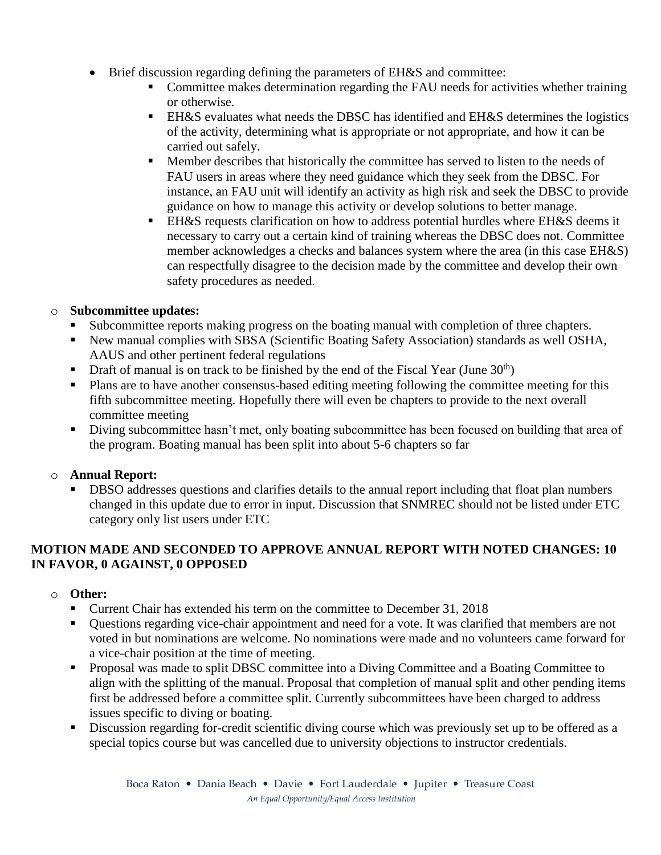- Brief discussion regarding defining the parameters of EH&S and committee:
	- Committee makes determination regarding the FAU needs for activities whether training or otherwise.
	- EH&S evaluates what needs the DBSC has identified and EH&S determines the logistics of the activity, determining what is appropriate or not appropriate, and how it can be carried out safely.
	- **Member describes that historically the committee has served to listen to the needs of** FAU users in areas where they need guidance which they seek from the DBSC. For instance, an FAU unit will identify an activity as high risk and seek the DBSC to provide guidance on how to manage this activity or develop solutions to better manage.
	- EH&S requests clarification on how to address potential hurdles where EH&S deems it necessary to carry out a certain kind of training whereas the DBSC does not. Committee member acknowledges a checks and balances system where the area (in this case EH&S) can respectfully disagree to the decision made by the committee and develop their own safety procedures as needed.

## o **Subcommittee updates:**

- Subcommittee reports making progress on the boating manual with completion of three chapters.
- New manual complies with SBSA (Scientific Boating Safety Association) standards as well OSHA, AAUS and other pertinent federal regulations
- **Draft of manual is on track to be finished by the end of the Fiscal Year (June 30<sup>th</sup>)**
- Plans are to have another consensus-based editing meeting following the committee meeting for this fifth subcommittee meeting. Hopefully there will even be chapters to provide to the next overall committee meeting
- Diving subcommittee hasn't met, only boating subcommittee has been focused on building that area of the program. Boating manual has been split into about 5-6 chapters so far

# o **Annual Report:**

 DBSO addresses questions and clarifies details to the annual report including that float plan numbers changed in this update due to error in input. Discussion that SNMREC should not be listed under ETC category only list users under ETC

# **MOTION MADE AND SECONDED TO APPROVE ANNUAL REPORT WITH NOTED CHANGES: 10 IN FAVOR, 0 AGAINST, 0 OPPOSED**

### o **Other:**

- Current Chair has extended his term on the committee to December 31, 2018
- Questions regarding vice-chair appointment and need for a vote. It was clarified that members are not voted in but nominations are welcome. No nominations were made and no volunteers came forward for a vice-chair position at the time of meeting.
- **Proposal was made to split DBSC committee into a Diving Committee and a Boating Committee to** align with the splitting of the manual. Proposal that completion of manual split and other pending items first be addressed before a committee split. Currently subcommittees have been charged to address issues specific to diving or boating.
- Discussion regarding for-credit scientific diving course which was previously set up to be offered as a special topics course but was cancelled due to university objections to instructor credentials.